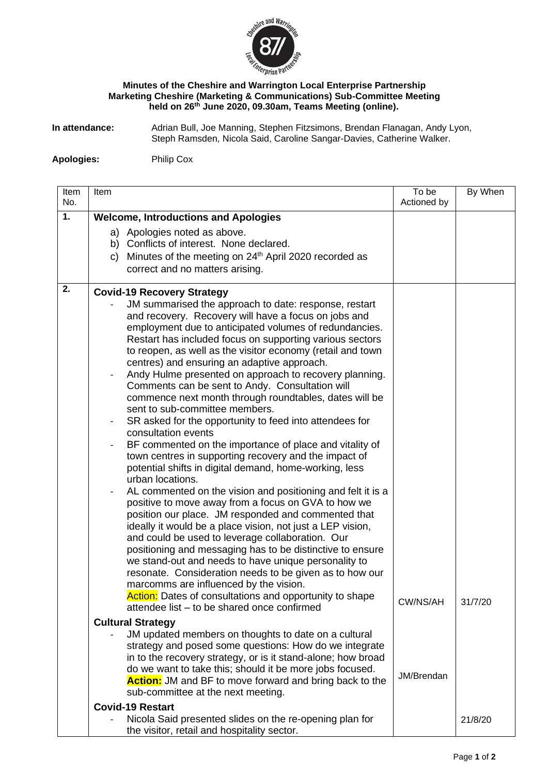

## **Minutes of the Cheshire and Warrington Local Enterprise Partnership Marketing Cheshire (Marketing & Communications) Sub-Committee Meeting held on 26th June 2020, 09.30am, Teams Meeting (online).**

**In attendance:** Adrian Bull, Joe Manning, Stephen Fitzsimons, Brendan Flanagan, Andy Lyon, Steph Ramsden, Nicola Said, Caroline Sangar-Davies, Catherine Walker.

**Apologies:** Philip Cox

| Item<br>No. | Item                                        |                                                                                                                            | To be<br>Actioned by | By When |  |
|-------------|---------------------------------------------|----------------------------------------------------------------------------------------------------------------------------|----------------------|---------|--|
| 1.          | <b>Welcome, Introductions and Apologies</b> |                                                                                                                            |                      |         |  |
|             |                                             | a) Apologies noted as above.                                                                                               |                      |         |  |
|             |                                             | b) Conflicts of interest. None declared.                                                                                   |                      |         |  |
|             |                                             | c) Minutes of the meeting on $24th$ April 2020 recorded as                                                                 |                      |         |  |
|             |                                             | correct and no matters arising.                                                                                            |                      |         |  |
| 2.          | <b>Covid-19 Recovery Strategy</b>           |                                                                                                                            |                      |         |  |
|             |                                             | JM summarised the approach to date: response, restart                                                                      |                      |         |  |
|             |                                             | and recovery. Recovery will have a focus on jobs and                                                                       |                      |         |  |
|             |                                             | employment due to anticipated volumes of redundancies.<br>Restart has included focus on supporting various sectors         |                      |         |  |
|             |                                             | to reopen, as well as the visitor economy (retail and town                                                                 |                      |         |  |
|             |                                             | centres) and ensuring an adaptive approach.                                                                                |                      |         |  |
|             |                                             | Andy Hulme presented on approach to recovery planning.                                                                     |                      |         |  |
|             |                                             | Comments can be sent to Andy. Consultation will                                                                            |                      |         |  |
|             |                                             | commence next month through roundtables, dates will be                                                                     |                      |         |  |
|             |                                             | sent to sub-committee members.                                                                                             |                      |         |  |
|             | $\overline{\phantom{a}}$                    | SR asked for the opportunity to feed into attendees for<br>consultation events                                             |                      |         |  |
|             | $\overline{\phantom{a}}$                    | BF commented on the importance of place and vitality of                                                                    |                      |         |  |
|             |                                             | town centres in supporting recovery and the impact of                                                                      |                      |         |  |
|             |                                             | potential shifts in digital demand, home-working, less                                                                     |                      |         |  |
|             |                                             | urban locations.                                                                                                           |                      |         |  |
|             |                                             | AL commented on the vision and positioning and felt it is a                                                                |                      |         |  |
|             |                                             | positive to move away from a focus on GVA to how we                                                                        |                      |         |  |
|             |                                             | position our place. JM responded and commented that                                                                        |                      |         |  |
|             |                                             | ideally it would be a place vision, not just a LEP vision,<br>and could be used to leverage collaboration. Our             |                      |         |  |
|             |                                             | positioning and messaging has to be distinctive to ensure                                                                  |                      |         |  |
|             |                                             | we stand-out and needs to have unique personality to                                                                       |                      |         |  |
|             |                                             | resonate. Consideration needs to be given as to how our                                                                    |                      |         |  |
|             |                                             | marcomms are influenced by the vision.                                                                                     |                      |         |  |
|             |                                             | Action: Dates of consultations and opportunity to shape                                                                    | CW/NS/AH             | 31/7/20 |  |
|             |                                             | attendee list – to be shared once confirmed                                                                                |                      |         |  |
|             |                                             | <b>Cultural Strategy</b>                                                                                                   |                      |         |  |
|             |                                             | JM updated members on thoughts to date on a cultural                                                                       |                      |         |  |
|             |                                             | strategy and posed some questions: How do we integrate                                                                     |                      |         |  |
|             |                                             | in to the recovery strategy, or is it stand-alone; how broad                                                               |                      |         |  |
|             |                                             | do we want to take this; should it be more jobs focused.<br><b>Action:</b> JM and BF to move forward and bring back to the | JM/Brendan           |         |  |
|             |                                             | sub-committee at the next meeting.                                                                                         |                      |         |  |
|             |                                             | <b>Covid-19 Restart</b>                                                                                                    |                      |         |  |
|             |                                             | Nicola Said presented slides on the re-opening plan for                                                                    |                      | 21/8/20 |  |
|             |                                             | the visitor, retail and hospitality sector.                                                                                |                      |         |  |